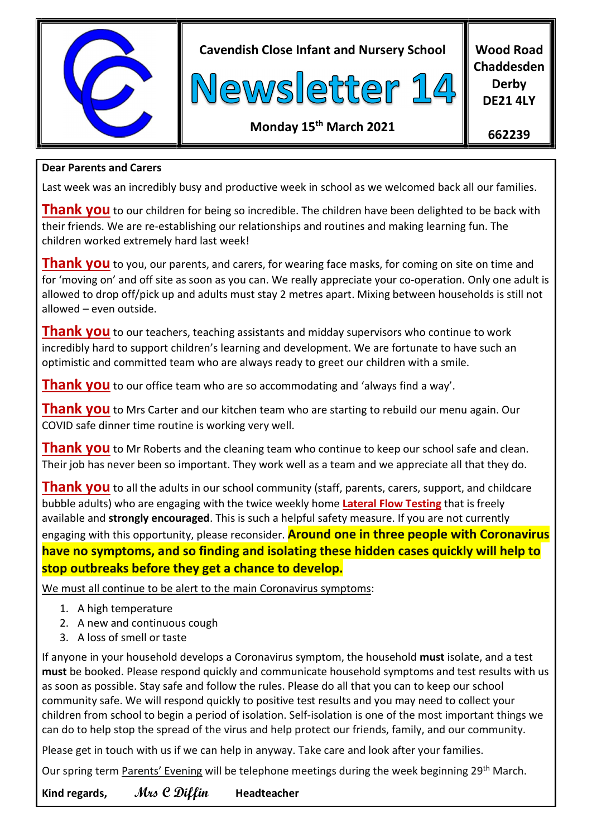

Cavendish Close Infant and Nursery School



Wood Road Chaddesden Derby DE21 4LY

## Monday 15th March 2021

662239

### Dear Parents and Carers

Last week was an incredibly busy and productive week in school as we welcomed back all our families.

**Thank you** to our children for being so incredible. The children have been delighted to be back with their friends. We are re-establishing our relationships and routines and making learning fun. The children worked extremely hard last week!

**Thank you** to you, our parents, and carers, for wearing face masks, for coming on site on time and for 'moving on' and off site as soon as you can. We really appreciate your co-operation. Only one adult is allowed to drop off/pick up and adults must stay 2 metres apart. Mixing between households is still not allowed – even outside.

**Thank you** to our teachers, teaching assistants and midday supervisors who continue to work incredibly hard to support children's learning and development. We are fortunate to have such an optimistic and committed team who are always ready to greet our children with a smile.

**Thank you** to our office team who are so accommodating and 'always find a way'.

**Thank you** to Mrs Carter and our kitchen team who are starting to rebuild our menu again. Our COVID safe dinner time routine is working very well.

**Thank you** to Mr Roberts and the cleaning team who continue to keep our school safe and clean. Their job has never been so important. They work well as a team and we appreciate all that they do.

**Thank you** to all the adults in our school community (staff, parents, carers, support, and childcare bubble adults) who are engaging with the twice weekly home Lateral Flow Testing that is freely available and strongly encouraged. This is such a helpful safety measure. If you are not currently engaging with this opportunity, please reconsider. **Around one in three people with Coronavirus** have no symptoms, and so finding and isolating these hidden cases quickly will help to stop outbreaks before they get a chance to develop.

We must all continue to be alert to the main Coronavirus symptoms:

- 1. A high temperature
- 2. A new and continuous cough
- 3. A loss of smell or taste

If anyone in your household develops a Coronavirus symptom, the household must isolate, and a test must be booked. Please respond quickly and communicate household symptoms and test results with us as soon as possible. Stay safe and follow the rules. Please do all that you can to keep our school community safe. We will respond quickly to positive test results and you may need to collect your children from school to begin a period of isolation. Self-isolation is one of the most important things we can do to help stop the spread of the virus and help protect our friends, family, and our community.

Please get in touch with us if we can help in anyway. Take care and look after your families.

Our spring term Parents' Evening will be telephone meetings during the week beginning 29<sup>th</sup> March.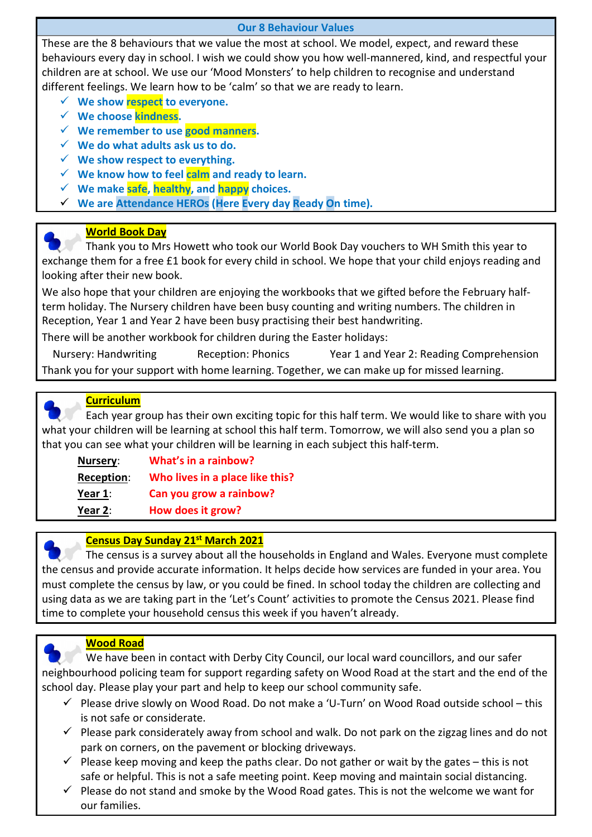#### Our 8 Behaviour Values

These are the 8 behaviours that we value the most at school. We model, expect, and reward these behaviours every day in school. I wish we could show you how well-mannered, kind, and respectful your children are at school. We use our 'Mood Monsters' to help children to recognise and understand different feelings. We learn how to be 'calm' so that we are ready to learn.

- $\checkmark$  We show respect to everyone.
- $\checkmark$  We choose kindness.
- $\checkmark$  We remember to use good manners.
- $\checkmark$  We do what adults ask us to do.
- $\checkmark$  We show respect to everything.
- $\checkmark$  We know how to feel calm and ready to learn.
- $\checkmark$  We make safe, healthy, and happy choices.
- $\checkmark$  We are Attendance HEROs (Here Every day Ready On time).

#### World Book Day

 Thank you to Mrs Howett who took our World Book Day vouchers to WH Smith this year to exchange them for a free £1 book for every child in school. We hope that your child enjoys reading and looking after their new book.

We also hope that your children are enjoying the workbooks that we gifted before the February halfterm holiday. The Nursery children have been busy counting and writing numbers. The children in Reception, Year 1 and Year 2 have been busy practising their best handwriting.

There will be another workbook for children during the Easter holidays:

Nursery: Handwriting Reception: Phonics Year 1 and Year 2: Reading Comprehension Thank you for your support with home learning. Together, we can make up for missed learning.



#### **Curriculum**

 Each year group has their own exciting topic for this half term. We would like to share with you what your children will be learning at school this half term. Tomorrow, we will also send you a plan so that you can see what your children will be learning in each subject this half-term.

| Nursery:   | What's in a rainbow?            |
|------------|---------------------------------|
| Reception: | Who lives in a place like this? |
| Year 1:    | Can you grow a rainbow?         |
| Year $2:$  | How does it grow?               |



#### **Census Day Sunday 21<sup>st</sup> March 2021**

 The census is a survey about all the households in England and Wales. Everyone must complete the census and provide accurate information. It helps decide how services are funded in your area. You must complete the census by law, or you could be fined. In school today the children are collecting and using data as we are taking part in the 'Let's Count' activities to promote the Census 2021. Please find time to complete your household census this week if you haven't already.



#### Wood Road

 We have been in contact with Derby City Council, our local ward councillors, and our safer neighbourhood policing team for support regarding safety on Wood Road at the start and the end of the school day. Please play your part and help to keep our school community safe.

- $\checkmark$  Please drive slowly on Wood Road. Do not make a 'U-Turn' on Wood Road outside school this is not safe or considerate.
- $\checkmark$  Please park considerately away from school and walk. Do not park on the zigzag lines and do not park on corners, on the pavement or blocking driveways.
- $\checkmark$  Please keep moving and keep the paths clear. Do not gather or wait by the gates this is not safe or helpful. This is not a safe meeting point. Keep moving and maintain social distancing.
- $\checkmark$  Please do not stand and smoke by the Wood Road gates. This is not the welcome we want for our families.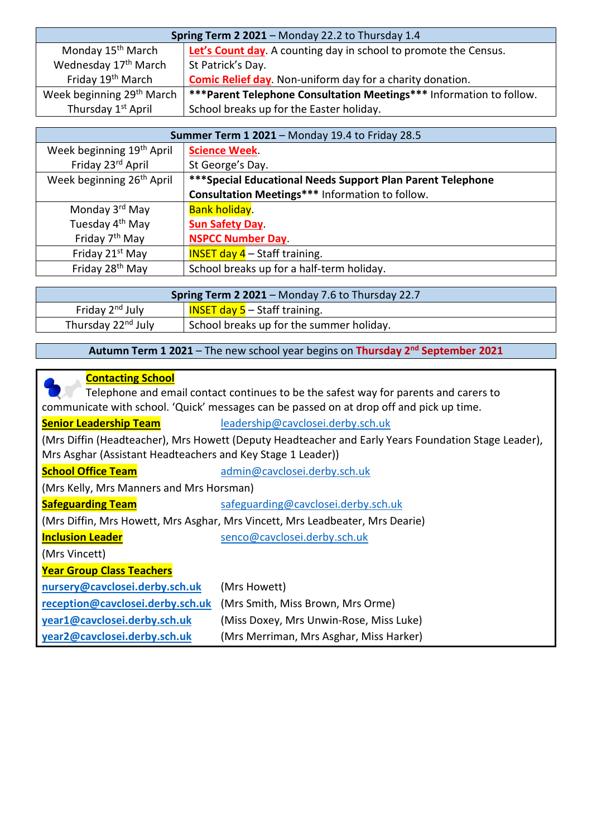| Spring Term 2 2021 - Monday 22.2 to Thursday 1.4 |                                                                            |
|--------------------------------------------------|----------------------------------------------------------------------------|
| Monday 15 <sup>th</sup> March                    | Let's Count day. A counting day in school to promote the Census.           |
| Wednesday 17 <sup>th</sup> March                 | St Patrick's Day.                                                          |
| Friday 19 <sup>th</sup> March                    | <b>Comic Relief day</b> . Non-uniform day for a charity donation.          |
| Week beginning 29 <sup>th</sup> March            | <b>***Parent Telephone Consultation Meetings***</b> Information to follow. |
| Thursday 1 <sup>st</sup> April                   | School breaks up for the Easter holiday.                                   |

| <b>Summer Term 1 2021 - Monday 19.4 to Friday 28.5</b> |                                                             |  |
|--------------------------------------------------------|-------------------------------------------------------------|--|
| Week beginning 19 <sup>th</sup> April                  | <b>Science Week.</b>                                        |  |
| Friday 23rd April                                      | St George's Day.                                            |  |
| Week beginning 26 <sup>th</sup> April                  | *** Special Educational Needs Support Plan Parent Telephone |  |
|                                                        | Consultation Meetings*** Information to follow.             |  |
| Monday 3 <sup>rd</sup> May                             | <b>Bank holiday.</b>                                        |  |
| Tuesday 4 <sup>th</sup> May                            | <b>Sun Safety Day</b>                                       |  |
| Friday 7 <sup>th</sup> May                             | <b>NSPCC Number Day.</b>                                    |  |
| Friday 21st May                                        | <b>INSET day 4</b> $-$ Staff training.                      |  |
| Friday 28 <sup>th</sup> May                            | School breaks up for a half-term holiday.                   |  |

| <b>Spring Term 2 2021</b> – Monday 7.6 to Thursday 22.7 |                                          |  |
|---------------------------------------------------------|------------------------------------------|--|
| Friday 2 <sup>nd</sup> July                             | <b>INSET day 5</b> – Staff training.     |  |
| Thursday 22 <sup>nd</sup> July                          | School breaks up for the summer holiday. |  |

Autumn Term 1 2021 – The new school year begins on Thursday 2<sup>nd</sup> September 2021

| <b>Contacting School</b>                                                                            |                                         |  |
|-----------------------------------------------------------------------------------------------------|-----------------------------------------|--|
| Telephone and email contact continues to be the safest way for parents and carers to                |                                         |  |
| communicate with school. 'Quick' messages can be passed on at drop off and pick up time.            |                                         |  |
| <b>Senior Leadership Team</b>                                                                       | leadership@cavclosei.derby.sch.uk       |  |
| (Mrs Diffin (Headteacher), Mrs Howett (Deputy Headteacher and Early Years Foundation Stage Leader), |                                         |  |
| Mrs Asghar (Assistant Headteachers and Key Stage 1 Leader))                                         |                                         |  |
| <b>School Office Team</b>                                                                           | admin@cavclosei.derby.sch.uk            |  |
| (Mrs Kelly, Mrs Manners and Mrs Horsman)                                                            |                                         |  |
| <b>Safeguarding Team</b>                                                                            | safeguarding@cavclosei.derby.sch.uk     |  |
| (Mrs Diffin, Mrs Howett, Mrs Asghar, Mrs Vincett, Mrs Leadbeater, Mrs Dearie)                       |                                         |  |
| <b>Inclusion Leader</b>                                                                             | senco@cavclosei.derby.sch.uk            |  |
| (Mrs Vincett)                                                                                       |                                         |  |
| <b>Year Group Class Teachers</b>                                                                    |                                         |  |
| nursery@cavclosei.derby.sch.uk                                                                      | (Mrs Howett)                            |  |
| reception@cavclosei.derby.sch.uk                                                                    | (Mrs Smith, Miss Brown, Mrs Orme)       |  |
| year1@cavclosei.derby.sch.uk                                                                        | (Miss Doxey, Mrs Unwin-Rose, Miss Luke) |  |
| year2@cavclosei.derby.sch.uk                                                                        | (Mrs Merriman, Mrs Asghar, Miss Harker) |  |